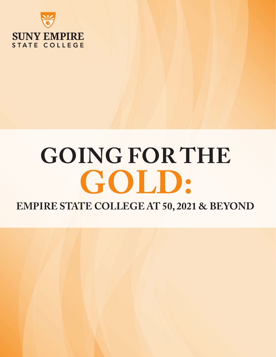

# **GOING FOR THE GOLD:**

**EMPIRE STATE COLLEGE AT 50, 2021 & BEYOND**

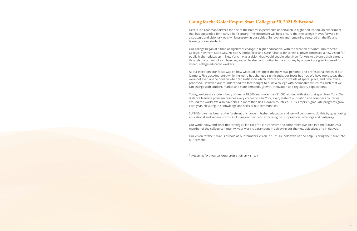# **Going for the Gold: Empire State College at 50, 2021 & Beyond**

Herein is a roadmap forward for one of the boldest experiments undertaken in higher education, an experiment that has succeeded for nearly a half century. This document will help ensure that the college moves forward in a strategic and visionary way, while preserving our spirit of innovation and remaining centered on the life and learning of our students.

Our college began at a time of significant change in higher education. With the creation of SUNY Empire State College, New York State Gov. Nelson A. Rockefeller and SUNY Chancellor Ernest L. Boyer conceived a new vision for public higher education in New York. It was a vision that would enable adult New Yorkers to advance their careers through the pursuit of a college degree, while also contributing to the economy by answering a growing need for skilled, college-educated workers.

At our inception, our focus was on how we could best meet the individual personal and professional needs of our learners. Five decades later, while the world has changed significantly, our focus has not. We have tools today that were not even on the horizon when "an institution which transcends constraints of space, place, and time<sup>1</sup>" was proposed. However, our founders had the forethought to build a college with permeable structures such that we can change with student, market and state demands, growth, innovation and regulatory expectations.

Today, we boast a student body of nearly 18,000 and more than 81,000 alumni, with sites that span New York. Our distance learning program reaches every corner of New York, every state of our nation and countless countries around the world. We also have sites in more than half a dozen countries. SUNY Empire's graduate programs grow each year, elevating the knowledge and skills of our communities.

SUNY Empire has been at the forefront of change in higher education and we will continue to do this by questioning educational and service norms, including our own, and improving on our practices, offerings and pedagogy.

Our work today, and what this Strategic Plan calls for, is a cohesive and comprehensive step into the future. As a member of the college community, your work is paramount in achieving our themes, objectives and initiatives.

Our vision for the future is as bold as our founders' vision in 1971. Be bold with us and help us bring the future into our present.

*1 "Prospectus for a New University College" February 8, 1971*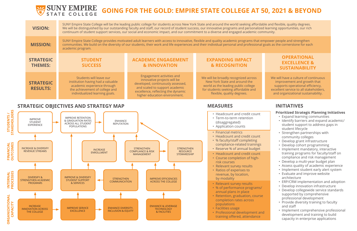

# SUNY EMPIRE **GOING FOR THE GOLD: EMPIRE STATE COLLEGE AT 50, 2021 & BEYOND**

| <b>VISION:</b>                      | SUNY Empire State College will be the leading public college for students across New York State and around the world seeking affordable and f<br>We will be distinguished by our outstanding faculty and staff, our record of student success, our innovative programs and personalized learnin<br>continuum of student support services, our social and economic impact, and our commitment to a diverse and engaged academic community. |                                                                                                                                                                                                        |                                                                                                                                                                                   |                |  |
|-------------------------------------|-------------------------------------------------------------------------------------------------------------------------------------------------------------------------------------------------------------------------------------------------------------------------------------------------------------------------------------------------------------------------------------------------------------------------------------------|--------------------------------------------------------------------------------------------------------------------------------------------------------------------------------------------------------|-----------------------------------------------------------------------------------------------------------------------------------------------------------------------------------|----------------|--|
| <b>MISSION:</b>                     | SUNY Empire State College provides motivated adult learners with access to innovative, flexible and quality academic programs that empower<br>communities. We build on the diversity of our students, their work and life experiences and their individual personal and professional goals as<br>academic program.                                                                                                                        |                                                                                                                                                                                                        |                                                                                                                                                                                   |                |  |
| <b>STRATEGIC</b><br><b>THEMES:</b>  | <b>STUDENT</b><br><b>SUCCESS</b>                                                                                                                                                                                                                                                                                                                                                                                                          | <b>ACADEMIC ENGAGEMENT</b><br><b>&amp; INNOVATION</b>                                                                                                                                                  | <b>EXPANDING IMPACT</b><br><b>&amp; RECOGNITION</b>                                                                                                                               |                |  |
| <b>STRATEGIC</b><br><b>RESULTS:</b> | Students will leave our<br>institution having had a valuable<br>academic experience through<br>the achievement of college and<br>individualized learning goals.                                                                                                                                                                                                                                                                           | Engagement activities and<br>innovative projects will be<br>developed, continuously assessed,<br>and scaled to support academic<br>excellence, reflecting the dynamic<br>higher education environment. | We will be broadly recognized across<br>New York State and around the<br>world as the leading public college<br>for students seeking affordable and<br>flexible, quality degrees. | We<br>exo<br>a |  |

# **OPERATIONAL EXCELLENCE & SUSTAINABILITY**

We will have a culture of continuous improvement and growth that supports operational efficiency, excellent service to all stakeholders, and organizational sustainability.

- Headcount and credit count
- Term-to-term retention (disaggregated)
- Application counts
- Financial metrics
- Headcount and credit count
- % faculty/staff completing compliance-related trainings
- Reserve % of annual budget
- Headcount and credit count
- Course completion of high-
- risk courses • Relevant survey results
- Ratios of expenses to revenue, by location, by modality
- Relevant survey results
- % of performance programs/ annual plans in place
- Retention, graduation, course completion rates across populations
- Facilities usage
- Professional development and training offered, attendance

able and flexible, quality degrees. d learning opportunities, our rich

mpower people and strengthen goals as the cornerstone for each

#### **Prioritized Strategic Planning Initiatives**

- Expand learning communities
- Identify barriers and expand academic/ student support to address gaps in student lifecycle
- Strengthen partnerships with community colleges
- Develop grant infrastructure
- Develop cohort programming
- Implement mandatory, interactive training programs for faculty/staff on compliance and risk management
- Develop a multi-year budget plan
- Assess quality of academic experience
- Implement student early alert system
- Evaluate and improve website architecture
- ERP/CRM implementation and adoption
- Develop innovation infrastructure
- Develop collegewide service standards supported by comprehensive professional development
- Provide diversity training to faculty and staff
- Implement comprehensive professional development and training to build capacity in enterprise applications

# **STRATEGIC OBJECTIVES AND STRATEGY MAP MEASURES INITIATIVES**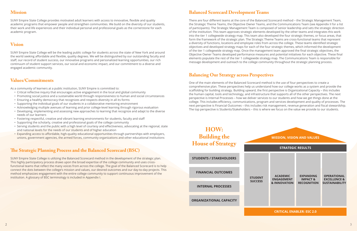# **Mission**

SUNY Empire State College provides motivated adult learners with access to innovative, flexible and quality academic programs that empower people and strengthen communities. We build on the diversity of our students, their work and life experiences and their individual personal and professional goals as the cornerstone for each academic program.

# **Vision**

SUNY Empire State College will be the leading public college for students across the state of New York and around the world seeking affordable and flexible, quality degrees. We will be distinguished by our outstanding faculty and staff, our record of student success, our innovative programs and personalized learning opportunities, our rich continuum of student support services, our social and economic impact, and our commitment to a diverse and engaged academic community.

# **Values/Commitments**

As a community of learners at a public institution, SUNY Empire is committed to:

- Critical reflective inquiry that encourages active engagement in the local and global community
- Promoting social justice and a sustainable world through responsiveness to human and social circumstances
- Ensuring a healthy democracy that recognizes and respects diversity in all its forms
- Supporting the individual goals of our students in a collaborative mentoring environment
- Acknowledging multiple avenues of learning and prior college-level learning through rigorous evaluation
- Developing, implementing and assessing new approaches to learning that recognize and adapt to the diverse needs of our learners
- Fostering respectful, creative and vibrant learning environments for students, faculty and staff
- Supporting the scholarly, creative and professional goals of the college community
- Serving students and the public with a high level of courtesy and effectiveness, advocating at the regional, state and national levels for the needs of our students and of higher education
- Expanding access to affordable, high-quality educational opportunities through partnerships with employers, unions, government agencies, the armed forces, community organizations and other educational institutions

# **The Strategic Planning Process and the Balanced Scorecard (BSC)**

SUNY Empire State College is utilizing the Balanced Scorecard method in the development of the strategic plan. This highly participatory process draws upon the broad expertise of the college community and uses crossfunctional teams that reflect the many voices from across the college. The goal of the Balanced Scorecard is to help connect the dots between the college's mission and values, our desired outcomes and our day-to-day projects. This method emphasizes engagement with the entire college community to support continuous improvement of the institution. A glossary of BSC terminology is included in Appendix I.

# **Balanced Scorecard Development Teams**

There are four different teams at the core of the Balanced Scorecard method – the Strategic Management Team, the Strategic Theme Teams, the Objective Owner Teams, and the Communications Team (see Appendix II for a list of participants). The Strategic Management Team is composed of senior leadership and sets the strategic direction of the institution. This team approves strategic elements developed by the other teams and integrates this work into the tier 1 collegewide strategy map. This team also developed the four strategic themes, or focus areas, that form the framework of the strategic plan. The Strategic Theme Teams are cross-functional teams that represent a diversity of functions, locations and employee roles from across the college. These teams identified strategic objectives and developed strategy maps for each of the four strategic themes, which informed the development of the tier 1 collegewide strategy map. Once the management team approved the final strategic objectives, the Objective Owner Teams developed performance measures and potential initiatives for each objective. These final elements populate the rest of the tier 1 collegewide strategy map. The Communications Team is responsible for message development and outreach to the college community throughout the strategic planning process.

# **Balancing Our Strategy across Perspectives**

One of the main elements of the Balanced Scorecard method is the use of four perspectives to create a comprehensive plan. These perspectives help us understand how our college works as a system and provide the scaffolding for building strategy. Building upward, the first perspective is Organizational Capacity – this includes the human capital, tools and technology, and infrastructure that supports all of the other perspectives. The next perspective is Internal Processes – how we deliver services to our students and how we get things done at the college. This includes efficiency, communications, program and services development and quality of processes. The next perspective is Financial Outcomes – this includes risk management, revenue generation and fiscal stewardship. The top perspective is Students/Stakeholders – this is where we focus on the value we provide to our students.

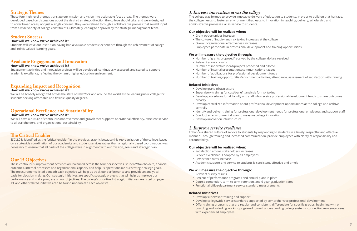# **Strategic Themes**

These four high-level themes translate our mission and vision into actionable focus areas. The themes were developed based on discussions about the desired strategic direction the college should take, and were designed to cover broad areas, not just a single concern. They were refined through a collaborative process that sought input from a wide variety of college constituents, ultimately leading to approval by the strategic management team.

# **Student Success**

#### **How will we know we've achieved it?**

Students will leave our institution having had a valuable academic experience through the achievement of college and individualized learning goals.

# **Academic Engagement and Innovation**

#### **How will we know we've achieved it?**

Engagement activities and innovative projects will be developed, continuously assessed, and scaled to support academic excellence, reflecting the dynamic higher education environment.

# **Expanding Impact and Recognition**

#### **How will we know we've achieved it?**

We will be broadly recognized across the state of New York and around the world as the leading public college for students seeking affordable and flexible, quality degrees.

# **Operational Excellence and Sustainability**

#### **How will we know we've achieved it?**

We will have a culture of continuous improvement and growth that supports operational efficiency, excellent service to all stakeholders, and organizational sustainability.

# **The Critical Enabler**

ESC 2.0 is identified as the "critical enabler" in the previous graphic because this reorganization of the college, based on a statewide coordination of our academics and student services rather than a regionally based coordination, was necessary to ensure that all parts of the college were in alignment with our mission, goals and strategic plan.

# **Our 15 Objectives**

These continuous-improvement activities are balanced across the four perspectives, student/stakeholders, financial outcomes, internal processes and organizational capacity and help us operationalize our strategic college goals. The measurements listed beneath each objective will help us track our performance and provide an analytical basis for decision making. Our strategic initiatives are specific strategic projects that will help us improve our performance and make progress on our objectives. The college's prioritized strategic initiatives are listed on page 13, and other related initiatives can be found underneath each objective.

# *1. Increase innovation across the college*

The college was formed to provide innovative delivery of education to students. In order to build on that heritage, the college needs to foster an environment that leads to innovation in teaching, delivery, scholarship and administrative processes, all in service to students.

### **Our objective will be realized when:**

- Grant opportunities increase
- The culture of inquiry and risk taking increases at the college
- Overall organizational effectiveness increases
- Employees participate in professional development and training opportunities

### **We will measure the objective through:**

- Number of grants proposed/received by the college; dollars received
- Relevant survey results
- Number of innovative ideas/projects proposed and piloted
- Number of internal presentations/communications, tagged
- Number of applications for professional development funds
- 

• Number of training opportunities/enrichment activities, attendance, assessment of satisfaction with training

### **Related Initiatives**

• Develop procedures for all faculty and staff who receive professional development funds to share outcomes

• Develop centralized information about professional development opportunities at the college and archive

- Develop grant infrastructure
- Supervisory training for cost/benefit analysis for risk taking
- broadly
- centrally
- 
- Conduct an environmental scan to measure college innovation
- Develop innovation infrastructure

• Identify and deliver training for professional development needs for professional employees and support staff

# *2. Improve service excellence*

Enhance a shared culture of service to students by responding to students in a timely, respectful and effective manner. Through training and increased communication, provide employees with clarity of responsibility and accountability.

### **Our objective will be realized when:**

- Satisfaction among stakeholders increases
- Service excellence is adopted by all employees
- Persistence rates increase
- Academic support and service to students is consistent, effective and timely

### **We will measure the objective through:**

- Relevant survey results
- Percent of performance programs and annual plans in place
- Course completion, term-to-term retention, and 6-year graduation rates
- Functional office/department service standard measurements

#### **Related Initiatives**

- Develop supervisor training and support
- Develop collegewide service standards supported by comprehensive professional development
- with experienced employees

• Offer training programs that are regular and consistent; differentiate for specific groups, beginning with onboarding and including workshops geared toward understanding college systems; connecting new employees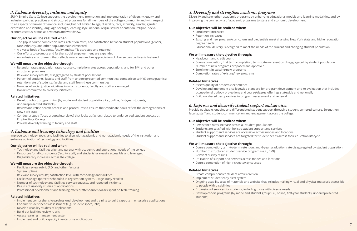# *3. Enhance diversity, inclusion and equity*

SUNY Empire State College supports the development, promotion and implementation of diversity, equity and inclusion policies, practices and structured programs for all members of the college community and with respect to all aspects of human difference, including but not limited to age, disability, race, ethnicity, gender, gender expression and identity, language heritage, learning style, national origin, sexual orientation, religion, socioeconomic status, status as a veteran and worldview.

#### **Our objective will be realized when:**

- The gap in course completion rates, retention rates, and satisfaction between student populations (gender, race, ethnicity, and other populations) is eliminated
- A diverse body of students, faculty and staff is attracted and retained
- Our efforts to promote and further social empowerment are expanded
- An inclusive environment that reflects awareness and an appreciation of diverse perspectives is fostered

#### **We will measure the objective through:**

- Retention rates, graduation rates, course completion rates across populations, and for BMI and other structured programs
- Relevant survey results, disaggregated by student populations
- Percent of students, faculty and staff from underrepresented communities; comparison to NYS demographics; retention rate of students, faculty and staff from these communities
- Number of social justice initiatives in which students, faculty and staff are engaged
- Dollars committed to diversity initiatives

#### **Related Initiatives**

- Develop cohort programming (by mode and student population; i.e., online, first-year students, underrepresented students)
- Review and refine search process and procedures to ensure that candidate pools reflect the demographics of New York state
- Conduct a study (focus groups/interviews) that looks at factors related to underserved student success at Empire State College
- Provide diversity training to faculty and staff

# *4. Enhance and leverage technology and facilities*

Improve technology, tools, and facilities to align with academic and non-academic needs of the institution and enhance utilization of technology and facilities.

#### **Our objective will be realized when:**

- Technology and facilities align and partner with academic and operational needs of the college
- Resources for all constituents (faculty, staff, and students) are easily accessible and leveraged
- Digital literacy increases across the college

Provide equitable, ongoing and differentiated student support through a student-centered culture. Strengthen faculty, staff and student communication and engagement across the college.

### **We will measure the objective through:**

- Facilities review rubric (ROI and other factors)
- System uptime
- Relevant survey results; satisfaction level with technology and facilities
- Facilities usage (percent scheduled in registration system, usage study results)
- Number of technology and facilities service requests, and repeated incidents
- Results of usability studies of applications
- Professional development and training offered/attendance; dollars spent on tech. training

### **Related Initiatives**

- Implement comprehensive professional development and training to build capacity in enterprise applications
- Conduct student needs assessment (e.g., student space, labs)
- Develop usability studies of applications
- Build out facilities review rubric
- Assess learning management system
- Implement and build capacity in enterprise applications

# *5. Diversify and strengthen academic programs*

Diversify and strengthen academic programs by enhancing educational models and learning modalities, and by improving the connectivity of academic programs to state and economic development.

## **Our objective will be realized when:**

• Existing and new program/curriculum and credentials meet changing New York state and higher education

- Enrollment increases
- Retention increases
- degree needs
- Educational delivery is designed to meet the needs of the current and changing student population

### **We will measure the objective through:**

• Course completion, first term completion, term-to-term retention disaggregated by student population

- Headcount and credit count
- 
- Number of new programs proposed and approved
- Enrollment in existing/new programs
- Completion rates of existing/new programs

### **Related Initiatives**

• Develop and implement a collegewide standard for program development and re-evaluation that includes

- Assess quality of academic experience
- occupational outlook projections and course/degree offerings statewide and nationally
- Build on shared best practices in program assessment and renewal

# *6. Improve and diversify student support and services*

### **Our objective will be realized when:**

- Persistence rates increase across all student populations
- Students are satisfied with holistic student support and services
- Student support and services are accessible across modes and locations
- Student support and services are targeted for student needs across their education lifecycle

### **We will measure the objective through:**

• Course completion, term-to-term retention, and 6-year graduation rate disaggregated by student population

- 
- Number of structured student service programs (e.g., BMI)
- Relevant survey results
- Utilization of support and services across modes and locations
- Course completion of high-risk/gateway courses

#### **Related Initiatives**

• Ongoing usability tests of materials and website that includes making virtual and physical materials accessible

- Create comprehensive student affairs division
- Implement student early alert system
- to people with disabilities
- Expansion of services for students, including those with diverse needs
- students)

• Develop cohort programs (by mode and student group; i.e., online, first-year students, underrepresented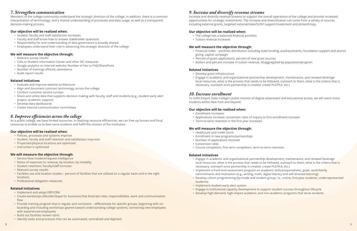# *7. Strengthen communication*

Members of the college community understand the strategic direction of the college. In addition, there is a common interpretation of terminology, and a shared understanding of processes and data usage, as well as a transparent decision-making process.

#### **Our objective will be realized when:**

- Student, faculty and staff satisfaction increases
- Faculty and staff know how to answer stakeholder questions
- Responsibility for and understanding of data governance is broadly shared
- Employees understand their role in advancing the strategic direction of the college

#### **We will measure the objective through:**

As a public college, we have limited resources. In realizing resource efficiencies, we can free up human and fiscal resources to enable us to best serve students and fulfill the mission of the institution.

- Relevant survey results
- Calls to Student Information Center and other SIC measures
- Google analytics on internal website; Number of hits to FAQ/SharePoint
- Number of trainings offered, attendance
- Audit report results

#### **Related Initiatives**

- Evaluate and improve website architecture
- Align and document common terminology across the college
- Conduct customer service surveys
- Share and utilize data that supports decision making with faculty, staff and students (e.g., student early alert project, academic support)
- Develop data dashboards
- Create internal communication committees

# *8. Improve efficiencies across the college*

#### **Our objective will be realized when:**

- Policies, processes and systems improve
- Student, faculty and staff retention and satisfaction improves
- Properties/physical locations are optimized
- Instruction is optimized

### **We will measure the objective through:**

- Service Now incident/request intelligence
- Ratios of expenses to revenue, by location, by modality
- Student retention; Faculty/staff turnover
- Relevant survey results
- Facilities use and location studies percent of facilities that are utilized on a regular basis and in the right locations
- Professional obligation measures

#### **Related Initiatives**

- Implement and adopt ERP/CRM
- Create workshops (Moodle/Skype for business) that illustrate roles, responsibilities, work and communication flow
- Provide training program that is regular and consistent differentiate for specific groups, beginning with onboarding and including workshops geared toward understanding college systems; connecting new employees with experienced employees
- Build out facilities review rubric
- Identify tasks and processes that can be automated, centralized and digitized

# *9. Increase and diversify revenue streams*

Increase and diversify revenue streams to support the overall operations of the college and provide increased opportunities for strategic investments. The increase and diversification can come from a variety of sources, including external grants, targeted national/state/SUNY support/investment and philanthropy.

### **Our objective will be realized when:**

- The college has a balanced financial portfolio
- Tuition revenue increases

#### **We will measure the objective through:**

• Financial index – portfolio distribution including state funding, auxiliary/events, foundation support and alumni

- giving, capital campaign
- Percent of grant applications, percent of new grant sources
- Dollars and percent increase in tuition revenue, disaggregated by population/program

### **Related Initiatives**

• Engage in academic and organizational partnership development, maintenance, and renewal (leverage local resources, what is the process that needs to be followed, outreach to them, what is the criteria that is

- Develop grant infrastructure
- necessary, outreach once partnership is created, create PLE/PLA, etc.)

# *10. Increase enrollment*

To fulfill Empire State College's public mission of degree attainment and educational access, we will reach more students within New York and beyond.

#### **Our objective will be realized when:**

- Enrollment increases
- Applications increase; conversion rates of inquiry to first enrollment increase
- Term-to-term retention in the first year increases

#### **We will measure the objective through:**

- Headcount and credit count
- Enrollment in new programs/partnerships
- Number of applications received
- Conversion rates
- Course completion, first term completion, term-to-term retention

#### **Related Initiatives**

• Engage in academic and organizational partnership development, maintenance, and renewal (leverage local resources, what is the process that needs to be followed, outreach to them, what is the criteria that is

- necessary, outreach once partnership is created, create PLE/PLA, etc.)
- Implement a front-end assessment program on academic skills/preparedness, goals, work/family commitments and motivation (e.g., writing, math, digital literacy and self-directed learning)
- students)
- Implement student early alert system
- Engage in institutional capacity development to support student success throughout lifecycle
- Develop high-demand, high-impact academic and non-academic programs that serve students

• Develop cohort programming (by mode and student group; i.e., online, first-year students, underrepresented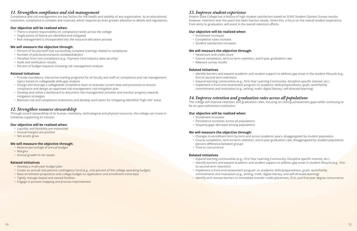# *11. Strengthen compliance and risk management*

Compliance and risk management are key factors for the health and stability of any organization. At an educational institution, compliance is complex and nuanced, which requires an even greater attention to details and regulations.

#### **Our objective will be realized when:**

- There is shared responsibility on compliance needs across the college
- Single points of failure are identified and mitigated
- Risk management is incorporated into the resource-allocation process

#### **We will measure the objective through:**

- Percent of faculty/staff that successfully complete trainings related to compliance
- Number of policies/procedures outdated/absent
- Penalties from non-compliance (e.g., Payment Card Industry data security)
- Audit and verification results
- Percent of budget requests including risk management analysis

#### **Related Initiatives**

- Provide mandatory, interactive training programs for all faculty and staff on compliance and risk management topics based on collegewide skills-gap analysis
- Charge and leverage a collegewide compliance team to evaluate current data and processes to ensure compliance and design an approved risk-management, risk-mitigation plan
- Develop and utilize a dashboard to document risk-management activities and monitor progress towards mitigation strategies
- Maintain risk and compliance inventories and develop work plans for mitigating identified "high risk" areas

Empire State College has a history of high student satisfaction based on SUNY Student Opinion Survey results; however, retention over the years has been low but steady. Given this, a focus on the overall student experience, from entry to graduation, will assist in the overall retention efforts.

# *12. Strengthen resource stewardship*

Through sound stewardship of its human, monetary, technological and physical resources, the college can invest in initiatives supporting its mission.

#### **Our objective will be realized when:**

- Liquidity and flexibility are maximized
- Annual margins are positive
- Net assets grow

#### **We will measure the objective through:**

- Reserve percentage of annual budget
- Margins
- Annual growth in net assets

#### **Related Initiatives**

- Develop a multi-year budget plan
- Create an annual one-percent contingency fund (e.g., one percent of the college operating budget)
- Base enrollment projections and college budget on application and enrollment trend data
- Tightly manage leased and owned facilities
- Engage in process mapping and process improvement

# *13. Improve student experience*

#### **Our objective will be realized when:**

- Enrollment increases
- Completion rates increase
- Student satisfaction increases

#### **We will measure the objective through:**

- Headcount and credit count
- Course completion, term-to-term retention, and 6-year graduation rate
- Relevant survey results

#### **Related Initiatives**

• Identify barriers and expand academic and student support to address gap areas in the student lifecycle (e.g.,

- first to second term retention)
- Expand learning communities (e.g., First-Year Learning Community, discipline-specific interest, etc.)
- Implement a front-end assessment program on academic skills/preparedness, goals, work/family commitments and motivation (e.g., writing, math, digital literacy, self-directed learning)

# *14. Improve retention and graduation rates across all populations*

The college will improve retention and graduation rates, focusing on closing achievement gaps while continuing to be an open-admissions institution.

#### **Our objective will be realized when:**

- Enrollment increases
- Persistence increases across all populations
- Disparity gaps decrease among populations

#### **We will measure the objective through:**

• Changes in enrollment term by term and across academic years, disaggregated by student population • Course completion, term-to-term retention, and 6-year graduation rate, disaggregated by student population,

- 
- percent difference between groups
- Time to concurrence

#### **Related Initiatives**

• Identify barriers and expand academic and student support to address gap areas in student lifecycle (e.g., first-

- Expand learning communities (e.g., First Year Learning Community, Discipline specific interest, etc.)
- to-second term retention)
- Implement a front-end assessment program on academic skills/preparedness, goals, work/family commitments and motivation (e.g., writing, math, digital literacy, and self-directed learning)
- 

• Identify and remove barriers to immediate transfer credit placement, iPLA, and first-year degree concurrence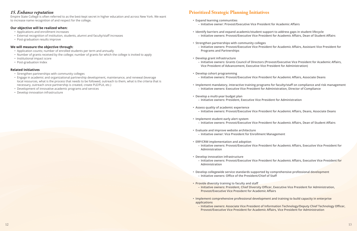# *15. Enhance reputation*

Empire State College is often referred to as the best-kept secret in higher education and across New York. We want to increase name recognition of and respect for the college.

#### **Our objective will be realized when:**

- Applications and enrollment increases
- External recognition of institution, students, alumni and faculty/staff increases
- Post-graduation results improve

#### **We will measure the objective through:**

- Application counts; number of enrolled students per term and annually
- Number of grants received by the college; number of grants for which the college is invited to apply
- Institutional impact score
- Post-graduation Index

#### **Related Initiatives**

- Strengthen partnerships with community colleges
- Engage in academic and organizational partnership development, maintenance, and renewal (leverage local resources, what is the process that needs to be followed, outreach to them, what is the criteria that is necessary, outreach once partnership is created, create PLE/PLA, etc.)
- Development of innovative academic programs and services
- Develop innovation infrastructure

# **Prioritized Strategic Planning Initiatives**

**– Initiative owners: Provost/Executive Vice President for Academic Affairs, Dean of Student Affairs**

**– Initiative owners: Provost/Executive Vice President for Academic Affairs, Assistant Vice President for** 

**– Initiative owners: Grants Council of Directors (Provost/Executive Vice President for Academic Affairs,** 

**• Implement mandatory, interactive training programs for faculty/staff on compliance and risk management**

**– Initiative owners: Provost/Executive Vice President for Academic Affairs, Deans, Associate Deans**

- **• Expand learning communities – Initiative owner: Provost/Executive Vice President for Academic Affairs**
- **• Identify barriers and expand academic/student support to address gaps in student lifecycle**
- **• Strengthen partnerships with community colleges Programs and Partnerships**
- **• Develop grant infrastructure Vice President of Advancement, Executive Vice President for Administration)**
- **• Develop cohort programming – Initiative owners: Provost/Executive Vice President for Academic Affairs, Associate Deans**
- **– Initiative owners: Executive Vice President for Administration, Director of Compliance**
- **• Develop a multi-year budget plan – Initiative owners: President, Executive Vice President for Administration**
- **• Assess quality of academic experience**
- **• Implement student early alert system**
- **• Evaluate and improve website architecture – Initiative owner: Vice President for Enrollment Management**
- **• ERP/CRM implementation and adoption Administration**
- **• Develop innovation infrastructure Administration**
- **• Develop collegewide service standards supported by comprehensive professional development – Initiative owners: Office of the President/Chief of Staff**
- **• Provide diversity training to faculty and staff Provost/Executive Vice President for Academic Affairs**
- **• Implement comprehensive professional development and training to build capacity in enterprise applications**
	- **Provost/Executive Vice President for Academic Affairs, Vice President for Administration**

**– Initiative owners: Provost/Executive Vice President for Academic Affairs, Dean of Student Affairs**

**– Initiative owners: Provost/Executive Vice President for Academic Affairs, Executive Vice President for** 

**– Initiative owners: Provost/Executive Vice President for Academic Affairs, Executive Vice President for** 

**– Initiative owners: President, Chief Diversity Officer, Executive Vice President for Administration,** 

**– Initiative owners: Associate Vice President of Information Technology/Deputy Chief Technology Officer,**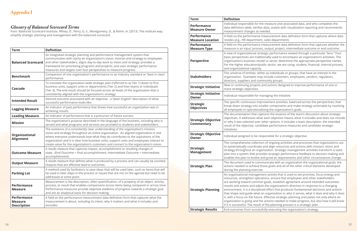| <b>Term</b>                                                | <b>Definition</b>                                                                                                                                                                                                                                                                                                                                                                                                                                       |
|------------------------------------------------------------|---------------------------------------------------------------------------------------------------------------------------------------------------------------------------------------------------------------------------------------------------------------------------------------------------------------------------------------------------------------------------------------------------------------------------------------------------------|
| <b>Balanced Scorecard</b>                                  | An integrated strategic planning and performance management system that<br>communicates with clarity an organization's vision, mission and strategy to employees<br>and other stakeholders; aligns day-to-day work to vision and strategy; provides a<br>framework for prioritizing programs and projects; and uses strategic performance<br>measures and targets over four perspectives to measure progress.                                           |
| <b>Benchmark</b>                                           | Comparison of one organization's performance to an industry standard or "best in class"<br>performance.                                                                                                                                                                                                                                                                                                                                                 |
| <b>Cascade</b>                                             | To translate the organization-wide strategic plan (referred to as Tier 1) down to first<br>business units, support units or departments (Tier 2) and then teams or individuals<br>(Tier 3). The end result should be focused across all levels of the organization that is<br>consistently aligned with the organization's strategy.                                                                                                                    |
| <b>Intended Result</b>                                     | Desired outcome associated with an objective - a "plain English" description of what<br>successful performance looks like.                                                                                                                                                                                                                                                                                                                              |
| <b>Lagging Measure</b>                                     | An indicator of past performance that shows how successful an organization was in<br>achieving results.                                                                                                                                                                                                                                                                                                                                                 |
| <b>Leading Measure</b>                                     | An indicator of performance that is a precursor of future success.                                                                                                                                                                                                                                                                                                                                                                                      |
| <b>Mission</b>                                             | The organization's purpose described in the language of the business, including who is<br>served and what programs and services are provided to students and stakeholders.                                                                                                                                                                                                                                                                              |
| Organizational<br><b>Alignment</b>                         | The existence of a consistently clear understanding of the organization's mission,<br>vision and strategy throughout an entire organization. An aligned organization is one<br>where everyone understands how what they do contributes to the aspirations of the<br>organization and it is clear how business units, support units and employees interact to<br>create value for the organization's customers and connect to the organization's vision. |
| <b>Outcome Measure</b>                                     | A results measure that captures impact, accomplishment or resulting changes in<br>state. (End Outcome = final accomplishment; Intermediate Outcome = intermediate<br>accomplishment)                                                                                                                                                                                                                                                                    |
| <b>Output Measure</b>                                      | A results measure that defines what is produced by a process and can usually be counted.<br>Outputs that are effective lead to outcomes.                                                                                                                                                                                                                                                                                                                |
| <b>Parking Lot</b>                                         | A method used by facilitators to save ideas that will be used later, such as items that will<br>be used in later steps in the process or issues that are not on the agenda but need to be<br>addressed at some point.                                                                                                                                                                                                                                   |
| <b>Performance</b><br><b>Measure</b>                       | Measurement is the description, often quantification, of a property of an object, activity,<br>process, or result that enables comparisons across items being compared or across time.<br>Performance measures provide objective evidence of progress towards a strategic goal<br>and are an analytical basis for decision making.                                                                                                                      |
| <b>Performance</b><br><b>Measure</b><br><b>Description</b> | A field on the performance measurement data definition form that captures what the<br>measurement is about, including its intent, why it matters and what it includes and<br>excludes.                                                                                                                                                                                                                                                                  |

# *Glossary of Balanced Scorecard Terms*

from: Balanced Scorecard Institute, Wilsey, D., Perry, G. S., Montgomery, D., & Rohm, H. (2013). The institute way: simplify strategic planning and management with the balanced scorecard.

Ie measure and associated data, and who completes the data, assists with visualization reporting and recommends eded.

neasurement data definition form that captures where data , sales department).

neasurement data definition form that captures whether the s, output, project, intermediate outcome or end outcome.

tegic performance viewed through a particular "lens." Four ionally used to encompass an organization's activities. The lel or sector determine the appropriate perspective names. iblic sector, we are using: student, financial, internal process,

er as individuals or groups, that have an interest in the include customers, employees, vendors, regulators, munity groups.

**Strategic Initiative** New or continuing projects and actions designed to improve performance of one or

anaging the initiative.

rovement activities, balanced across the perspectives, that aller components and make strategy actionable by involving izing the organization's goals.

tures the essence of the team's discussion about strategic each objective means, what it includes and does not include or wher options. It includes a basic description, the intended date performance measures and candidate strategic

sponsible for a strategic objective.

on of ongoing activities and processes that organizations use and align resources and actions with mission, vision and nization. Strategic management activities transform a static ides strategic performance feedback to decision making and nd grow as requirements and other circumstances change. nunicate with an organization the organizational goals, the ose goals and all of the other critical elements developed

ent activity that is used to set priorities, focus energy and ations, ensure that employees and other stakeholders n goals, establish agreement around intended outcomes/ st the organization's direction in response to a changing ed effort that produces fundamental decisions and actions an organization is, who it serves, what it does and why it does . Effective strategic planning articulates not only where an actions needed to make progress, but also how it will know of the planning process is a strategic plan.

fully executing the organization's strategy.

| <b>Term</b>                                     | <b>Definition</b>                                                                                                                                                                                                                                                                                    |
|-------------------------------------------------|------------------------------------------------------------------------------------------------------------------------------------------------------------------------------------------------------------------------------------------------------------------------------------------------------|
| <b>Performance</b><br><b>Measure Owner</b>      | Individual responsible for the<br>data definition table, verifies<br>measurement changes as ne                                                                                                                                                                                                       |
| <b>Performance</b><br><b>Measure Location</b>   | A field on the performance m<br>resides (e.g., HR department,                                                                                                                                                                                                                                        |
| <b>Performance</b><br><b>Measure Type</b>       | A field on the performance m<br>measure is an input, process,                                                                                                                                                                                                                                        |
| <b>Perspective</b>                              | A view of organizational strat<br>basic perspectives are traditio<br>organization's business mode<br>For the higher education/pub<br>and organizational capacity.                                                                                                                                    |
| <b>Stakeholders</b>                             | The universe of entities, eithe<br>organization. Examples may<br>directors, suppliers and comr                                                                                                                                                                                                       |
| <b>Strategic Initiative</b>                     | New or continuing projects a<br>more strategic objectives.                                                                                                                                                                                                                                           |
| <b>Strategic Initiative</b><br>Owner            | Individual responsible for ma                                                                                                                                                                                                                                                                        |
| <b>Strategic</b><br><b>Objectives</b>           | The specific continuous impre<br>break down strategy into sma<br>all employees in operationali                                                                                                                                                                                                       |
| <b>Strategic Objective</b><br><b>Commentary</b> | The documentation that capt<br>objectives. It addresses what<br>or why it was selected over o<br>result of the objective, candic<br>initiatives.                                                                                                                                                     |
| <b>Strategic Objective</b><br>Owner             | Individual assigned to be resp                                                                                                                                                                                                                                                                       |
| <b>Strategic</b><br><b>Management</b>           | The comprehensive collectior<br>to systematically coordinate a<br>strategy throughout an orgar<br>plan into a system that provid<br>enables the plan to evolve an                                                                                                                                    |
| <b>Strategic Plan</b>                           | The document used to comm<br>actions needed to achieve the<br>during the planning exercise.                                                                                                                                                                                                          |
| <b>Strategic Planning</b>                       | An organizational manageme<br>resources, strengthen operat<br>are working toward common<br>results and assess and adjust<br>environment. It is a discipline<br>that shape and guide what ar<br>it, with a focus on the future.<br>organization is going and the<br>if it is successful. The result o |
| <b>Strategic Results</b>                        | End outcomes from successf                                                                                                                                                                                                                                                                           |
|                                                 |                                                                                                                                                                                                                                                                                                      |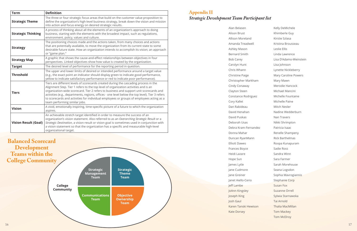| <b>Term</b>                 | <b>Definition</b>                                                                                                                                                                                                                                                                                                                                                                                                                                                                                     |
|-----------------------------|-------------------------------------------------------------------------------------------------------------------------------------------------------------------------------------------------------------------------------------------------------------------------------------------------------------------------------------------------------------------------------------------------------------------------------------------------------------------------------------------------------|
| <b>Strategic Theme</b>      | The three or four strategic focus areas that build on the customer value proposition to<br>define the organization's high-level business strategy, break down the vision and mission<br>into action and focus energy on desired strategic results.                                                                                                                                                                                                                                                    |
| <b>Strategic Thinking</b>   | A process of thinking about all the elements of an organization's approach to doing<br>business, starting with the elements with the broadest impact, such as regulations,<br>environment, policy, values and culture.                                                                                                                                                                                                                                                                                |
| <b>Strategy</b>             | The positioning choices made and the actions taken, from many choices and actions<br>that are potentially available, to move the organization from its current state to some<br>desirable future state. How an organization intends to accomplish its vision; an approach<br>or "game plan."                                                                                                                                                                                                          |
| <b>Strategy Map</b>         | A graphic that shows the cause-and-effect relationships between objectives in four<br>perspectives. Linked objectives show how value is created by the organization.                                                                                                                                                                                                                                                                                                                                  |
| <b>Target</b>               | The desired level of performance for the reporting period in question.                                                                                                                                                                                                                                                                                                                                                                                                                                |
| <b>Threshold</b>            | The upper and lower limits of desired or intended performance around a target value<br>(e.g., the exact point an indicator should display green to indicate good performance,<br>yellow to indicate satisfactory performance or red to indicate poor performance).                                                                                                                                                                                                                                    |
| <b>Tiers</b>                | Tiers are different levels of scorecards created during the cascading process in the<br>Alignment Step. Tier 1 refers to the top level of organization activities and is an<br>organization-wide scorecard. Tier 2 refers to business and support unit scorecards and<br>activities (e.g., departments, regions, offices - one level below the top level). Tier 3 refers<br>to scorecards and activities for individual employees or groups of employees acting as a<br>team performing similar jobs. |
| <b>Vision</b>               | A vivid, emotionally inspiring, time-specific picture of a future to which the organization<br>aspires.                                                                                                                                                                                                                                                                                                                                                                                               |
| <b>Vision Result (Goal)</b> | An achievable stretch target identified in order to measure the success of an<br>organization's vision statement. Also referred to as an Overarching Strategic Result or a<br>Strategic Destination, a vision result or vision goal is sometimes used in conjunction with<br>a vision statement so that the organization has a specific and measurable high-level<br>organizational target.                                                                                                           |

- Kelly DeMichele
- Khimberle Guy
- Kirstie Szlasa
- Kristina Brousseau
- Leslie Ellis
- Linda Lawrence
- Lisa D'Adamo-Weinstein
- Lisa Johnson
- Lynette Nickleberry
- Mary Caroline Powers
- Mary Mawn
- Merodie Hancock
- Michael Mancini
- Michelle Fountaine
- Michelle Paine
- Mitch Nesler
- Nadine Wedderburn
- Nan Travers
- Nikki Shrimpton
- Patricia Isaac
- Renelle Shampeny
- Rick Barthelmas
- Roopa Kunapuram
- Sadie Ross
- Sandra Winn
- Sara Farmer
- Sarah Morehouse
- Seana Logsdon
- Sophia Mavrogiannis
- Stephanie Corp
- Susan Fox
- Suzanne Orrell
- Sylwia Starnawska
- Tai Arnold
- Thalia MacMillan
- Tom Mackey
- **Tom McElroy**

**College Community Strategic Management Team Strategic Theme Team Communications Team Objective Ownership Team Balanced Scorecard Development Teams within the College Community**

Alan Belasen Alison Brust Allison Moreland Amanda Treadwell Ashley Mason Bernard Smith Bob Carey Carolyn Hunt Chris Whann Christine Paige Christopher Markham Cindy Conaway Clayton Steen Constance Rodriguez Cory Kallet Dan Rabideau David Henahan David Puskas Deborah Usas Debra Kram-Fernandez Donna Mahar Duncan RyanMann Elliott Dawes Frances Boyce Heidi Lazare Hope Sun James Lytle Jane Cudmore Jane Greiner Janet Aiello-Cerio Jeff Lambe JoAnn Kingsley Joseph King Josh Gaul Karen Tanski Hewison Kate Dorsey

# **Appendix II** *Strategic Development Team Participant list*